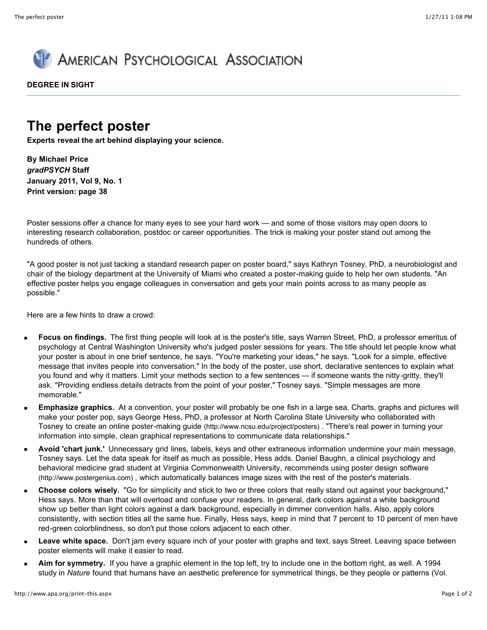

**DEGREE IN SIGHT**

## **The perfect poster**

**Experts reveal the art behind displaying your science.**

**By Michael Price** *gradPSYCH* **Staff January 2011, Vol 9, No. 1 Print version: page 38**

Poster sessions offer a chance for many eyes to see your hard work — and some of those visitors may open doors to interesting research collaboration, postdoc or career opportunities. The trick is making your poster stand out among the hundreds of others.

"A good poster is not just tacking a standard research paper on poster board," says Kathryn Tosney, PhD, a neurobiologist and chair of the biology department at the University of Miami who created a poster-making guide to help her own students. "An effective poster helps you engage colleagues in conversation and gets your main points across to as many people as possible."

Here are a few hints to draw a crowd:

- **Focus on findings.** The first thing people will look at is the poster's title, says Warren Street, PhD, a professor emeritus of psychology at Central Washington University who's judged poster sessions for years. The title should let people know what your poster is about in one brief sentence, he says. "You're marketing your ideas," he says. "Look for a simple, effective message that invites people into conversation." In the body of the poster, use short, declarative sentences to explain what you found and why it matters. Limit your methods section to a few sentences — if someone wants the nitty-gritty, they'll ask. "Providing endless details detracts from the point of your poster," Tosney says. "Simple messages are more memorable."
- **Emphasize graphics.** At a convention, your poster will probably be one fish in a large sea. Charts, graphs and pictures will  $\blacksquare$ make your poster pop, says George Hess, PhD, a professor at North Carolina State University who collaborated with Tosney to create an online [poster-making guide \(http://www.ncsu.edu/project/posters\)](http://www.ncsu.edu/project/posters) . "There's real power in turning your information into simple, clean graphical representations to communicate data relationships."
- $\blacksquare$ **Avoid 'chart junk.'** Unnecessary grid lines, labels, keys and other extraneous information undermine your main message, Tosney says. Let the data speak for itself as much as possible, Hess adds. Daniel Baughn, a clinical psychology and [behavioral medicine grad student at Virginia Commonwealth University, recommends using poster design software](http://www.postergenius.com/) (http://www.postergenius.com) , which automatically balances image sizes with the rest of the poster's materials.
- **Choose colors wisely.** "Go for simplicity and stick to two or three colors that really stand out against your background," m. Hess says. More than that will overload and confuse your readers. In general, dark colors against a white background show up better than light colors against a dark background, especially in dimmer convention halls. Also, apply colors consistently, with section titles all the same hue. Finally, Hess says, keep in mind that 7 percent to 10 percent of men have red-green colorblindness, so don't put those colors adjacent to each other.
- **Leave white space.** Don't jam every square inch of your poster with graphs and text, says Street. Leaving space between poster elements will make it easier to read.
- **Aim for symmetry.** If you have a graphic element in the top left, try to include one in the bottom right, as well. A 1994 study in *Nature* found that humans have an aesthetic preference for symmetrical things, be they people or patterns (Vol.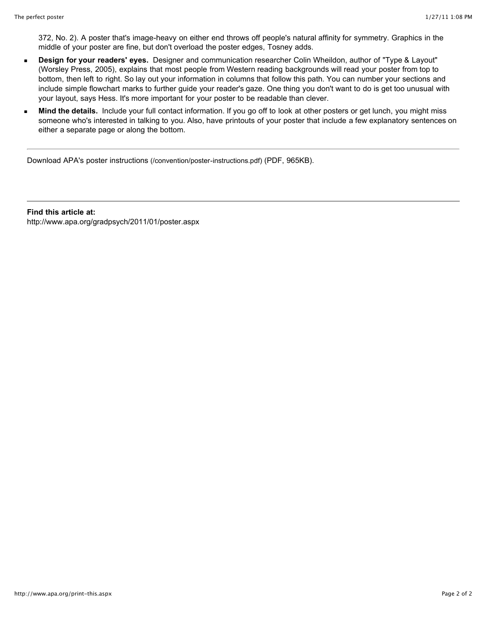372, No. 2). A poster that's image-heavy on either end throws off people's natural affinity for symmetry. Graphics in the middle of your poster are fine, but don't overload the poster edges, Tosney adds.

- **Design for your readers' eyes.** Designer and communication researcher Colin Wheildon, author of "Type & Layout"  $\blacksquare$ (Worsley Press, 2005), explains that most people from Western reading backgrounds will read your poster from top to bottom, then left to right. So lay out your information in columns that follow this path. You can number your sections and include simple flowchart marks to further guide your reader's gaze. One thing you don't want to do is get too unusual with your layout, says Hess. It's more important for your poster to be readable than clever.
- **Mind the details.** Include your full contact information. If you go off to look at other posters or get lunch, you might miss o someone who's interested in talking to you. Also, have printouts of your poster that include a few explanatory sentences on either a separate page or along the bottom.

[Download APA's poster instructions \(/convention/poster-instructions.pdf\)](http://www.apa.org/convention/poster-instructions.pdf) (PDF, 965KB).

**Find this article at:** http://www.apa.org/gradpsych/2011/01/poster.aspx